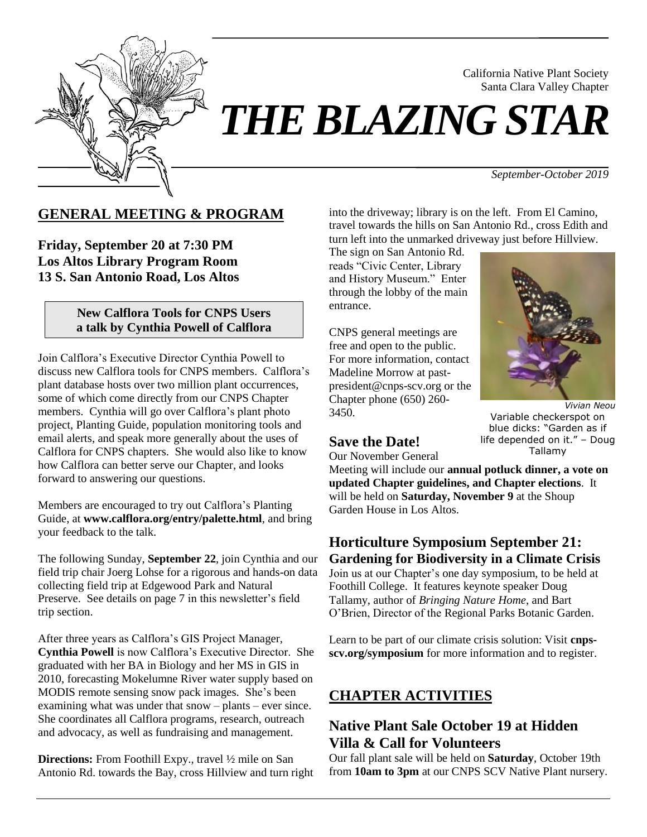

# *THE BLAZING STAR*

*September-October 2019*

California Native Plant Society Santa Clara Valley Chapter

## **GENERAL MEETING & PROGRAM**

**Friday, September 20 at 7:30 PM Los Altos Library Program Room 13 S. San Antonio Road, Los Altos**

#### **New Calflora Tools for CNPS Users a talk by Cynthia Powell of Calflora**

Join Calflora's Executive Director Cynthia Powell to discuss new Calflora tools for CNPS members. Calflora's plant database hosts over two million plant occurrences, some of which come directly from our CNPS Chapter members. Cynthia will go over Calflora's plant photo project, Planting Guide, population monitoring tools and email alerts, and speak more generally about the uses of Calflora for CNPS chapters. She would also like to know how Calflora can better serve our Chapter, and looks forward to answering our questions.

Members are encouraged to try out Calflora's Planting Guide, at **[www.calflora.org/entry/palette.html](http://www.calflora.org/entry/palette.html)**, and bring your feedback to the talk.

The following Sunday, **September 22**, join Cynthia and our field trip chair Joerg Lohse for a rigorous and hands-on data collecting field trip at Edgewood Park and Natural Preserve. See details on page 7 in this newsletter's field trip section.

After three years as Calflora's GIS Project Manager, **Cynthia Powell** is now Calflora's Executive Director. She graduated with her BA in Biology and her MS in GIS in 2010, forecasting Mokelumne River water supply based on MODIS remote sensing snow pack images. She's been examining what was under that snow – plants – ever since. She coordinates all Calflora programs, research, outreach and advocacy, as well as fundraising and management.

**Directions:** From Foothill Expy., travel ½ mile on San Antonio Rd. towards the Bay, cross Hillview and turn right into the driveway; library is on the left. From El Camino, travel towards the hills on San Antonio Rd., cross Edith and turn left into the unmarked driveway just before Hillview.

The sign on San Antonio Rd. reads "Civic Center, Library and History Museum." Enter through the lobby of the main entrance.

CNPS general meetings are free and open to the public. For more information, contact Madeline Morrow at pastpresident@cnps-scv.org or the Chapter phone (650) 260- 3450.



*Vivian Neou* Variable checkerspot on blue dicks: "Garden as if life depended on it." – Doug Tallamy

## **Save the Date!**

Our November General

Meeting will include our **annual potluck dinner, a vote on updated Chapter guidelines, and Chapter elections**. It will be held on **Saturday, November 9** at the Shoup Garden House in Los Altos.

## **Horticulture Symposium September 21: Gardening for Biodiversity in a Climate Crisis** Join us at our Chapter's one day symposium, to be held at Foothill College. It features keynote speaker Doug

Tallamy, author of *Bringing Nature Home*, and Bart O'Brien, Director of the Regional Parks Botanic Garden.

Learn to be part of our climate crisis solution: Visit **[cnps](http://www.cnps-scv.org/symposium)[scv.org/symposium](http://www.cnps-scv.org/symposium)** for more information and to register.

# **CHAPTER ACTIVITIES**

## **Native Plant Sale October 19 at Hidden Villa & Call for Volunteers**

Our fall plant sale will be held on **Saturday**, October 19th from **10am to 3pm** at our CNPS SCV Native Plant nursery.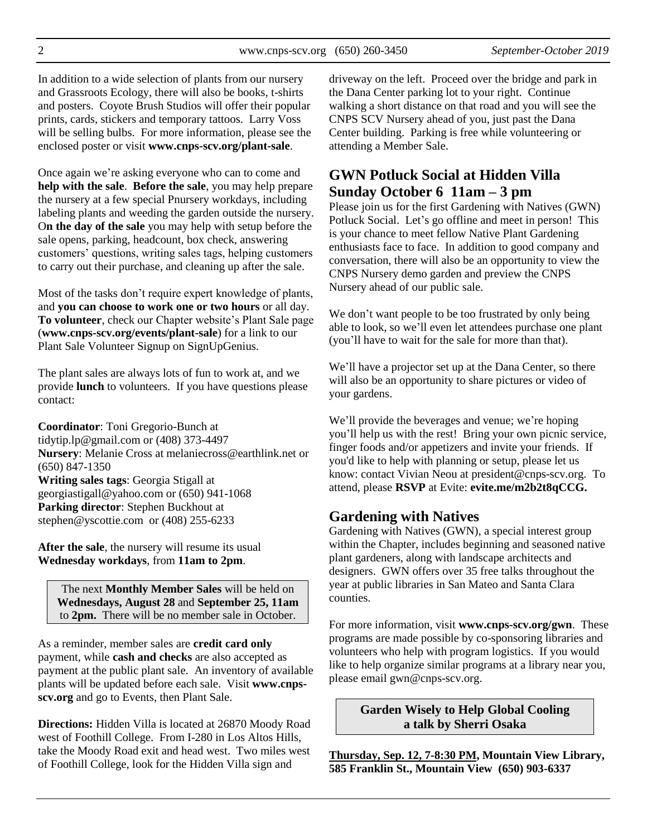In addition to a wide selection of plants from our nursery and Grassroots Ecology, there will also be books, t-shirts and posters. Coyote Brush Studios will offer their popular prints, cards, stickers and temporary tattoos. Larry Voss will be selling bulbs. For more information, please see the enclosed poster or visit **[www.cnps-scv.org/plant-sale](http://www.cnps-scv.org/plant-sale)**.

Once again we're asking everyone who can to come and **help with the sale**. **Before the sale**, you may help prepare the nursery at a few special Pnursery workdays, including labeling plants and weeding the garden outside the nursery. O**n the day of the sale** you may help with setup before the sale opens, parking, headcount, box check, answering customers' questions, writing sales tags, helping customers to carry out their purchase, and cleaning up after the sale.

Most of the tasks don't require expert knowledge of plants, and **you can choose to work one or two hours** or all day. **To volunteer**, check our Chapter website's Plant Sale page (**[www.cnps-scv.org/events/plant-sale](http://www.cnps-scv.org/events/plant-sale)**) for a link to our Plant Sale Volunteer Signup on SignUpGenius.

The plant sales are always lots of fun to work at, and we provide **lunch** to volunteers. If you have questions please contact:

**Coordinator**: Toni Gregorio-Bunch at [tidytip.lp@gmail.com](mailto:tonig@flash.net) or (408) 373-4497 **Nursery**: Melanie Cross at [melaniecross@earthlink.net](mailto:melaniecross@earthlink.net) or (650) 847-1350 **Writing sales tags**: Georgia Stigall at [georgiastigall@yahoo.com](mailto:georgiastigall@yahoo.com) or (650) 941-1068 **Parking director**: Stephen Buckhout at stephen@yscottie.com or (408) 255-6233

After the sale, the nursery will resume its usual **Wednesday workdays**, from **11am to 2pm**.

The next **Monthly Member Sales** will be held on **Wednesdays, August 28** and **September 25, 11am**  to **2pm.** There will be no member sale in October.

As a reminder, member sales are **credit card only** payment, while **cash and checks** are also accepted as payment at the public plant sale. An inventory of available plants will be updated before each sale. Visit **www[.cnps](http://cnps-scv.org/index.php/events/plant-sale)scv.org** [and go to Events, then Plant Sale.](http://cnps-scv.org/index.php/events/plant-sale)

**Directions:** Hidden Villa is located at 26870 Moody Road west of Foothill College. From I-280 in Los Altos Hills, take the Moody Road exit and head west. Two miles west of Foothill College, look for the Hidden Villa sign and

driveway on the left. Proceed over the bridge and park in the Dana Center parking lot to your right. Continue walking a short distance on that road and you will see the CNPS SCV Nursery ahead of you, just past the Dana Center building. Parking is free while volunteering or attending a Member Sale.

## **GWN Potluck Social at Hidden Villa Sunday October 6 11am – 3 pm**

Please join us for the first Gardening with Natives (GWN) Potluck Social. Let's go offline and meet in person! This is your chance to meet fellow Native Plant Gardening enthusiasts face to face. In addition to good company and conversation, there will also be an opportunity to view the CNPS Nursery demo garden and preview the CNPS Nursery ahead of our public sale.

We don't want people to be too frustrated by only being able to look, so we'll even let attendees purchase one plant (you'll have to wait for the sale for more than that).

We'll have a projector set up at the Dana Center, so there will also be an opportunity to share pictures or video of your gardens.

We'll provide the beverages and venue; we're hoping you'll help us with the rest! Bring your own picnic service, finger foods and/or appetizers and invite your friends. If you'd like to help with planning or setup, please let us know: contact Vivian Neou at [president@cnps-scv.org.](mailto:president@neou.org) To attend, please **RSVP** at Evite: **[evite.me/m2b2t8qCCG.](http://evite.me/m2b2t8qCCG)**

## **Gardening with Natives**

Gardening with Natives (GWN), a special interest group within the Chapter, includes beginning and seasoned native plant gardeners, along with landscape architects and designers. GWN offers over 35 free talks throughout the year at public libraries in San Mateo and Santa Clara counties.

For more information, visit **[www.cnps-scv.org/gwn](http://www.cnps-scv.org/gwn)**. These programs are made possible by co-sponsoring libraries and volunteers who help with program logistics. If you would like to help organize similar programs at a library near you, please email [gwn@cnps-scv.org.](mailto:sdosaka@sustainable-landscape.com)

> **Garden Wisely to Help Global Cooling a talk by Sherri Osaka**

**Thursday, Sep. 12, 7-8:30 PM, Mountain View Library, 585 Franklin St., Mountain View (650) 903-6337**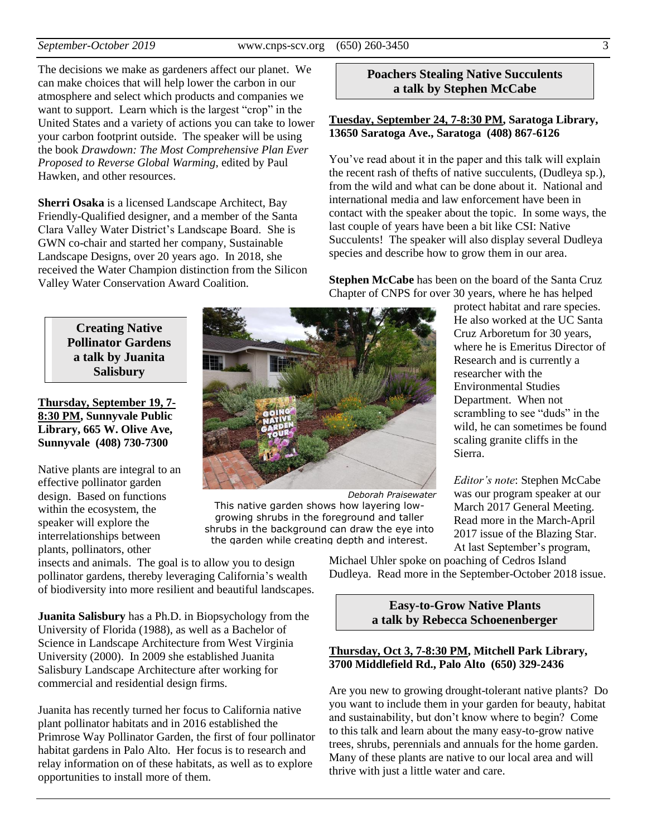The decisions we make as gardeners affect our planet. We can make choices that will help lower the carbon in our atmosphere and select which products and companies we want to support. Learn which is the largest "crop" in the United States and a variety of actions you can take to lower your carbon footprint outside. The speaker will be using the book *Drawdown: The Most Comprehensive Plan Ever Proposed to Reverse Global Warming*, edited by Paul Hawken, and other resources.

**Sherri Osaka** is a licensed Landscape Architect, Bay Friendly-Qualified designer, and a member of the Santa Clara Valley Water District's Landscape Board. She is GWN co-chair and started her company, Sustainable Landscape Designs, over 20 years ago. In 2018, she received the Water Champion distinction from the Silicon Valley Water Conservation Award Coalition.

> **Creating Native Pollinator Gardens a talk by Juanita Salisbury**

**Thursday, September 19, 7- 8:30 PM, Sunnyvale Public Library, 665 W. Olive Ave, Sunnyvale (408) 730-7300**

Native plants are integral to an effective pollinator garden design. Based on functions within the ecosystem, the speaker will explore the interrelationships between plants, pollinators, other

insects and animals. The goal is to allow you to design pollinator gardens, thereby leveraging California's wealth of biodiversity into more resilient and beautiful landscapes.

**Juanita Salisbury** has a Ph.D. in Biopsychology from the University of Florida (1988), as well as a Bachelor of Science in Landscape Architecture from West Virginia University (2000). In 2009 she established Juanita Salisbury Landscape Architecture after working for commercial and residential design firms.

Juanita has recently turned her focus to California native plant pollinator habitats and in 2016 established the Primrose Way Pollinator Garden, the first of four pollinator habitat gardens in Palo Alto. Her focus is to research and relay information on of these habitats, as well as to explore opportunities to install more of them.

#### **Poachers Stealing Native Succulents a talk by Stephen McCabe**

#### **Tuesday, September 24, 7-8:30 PM, Saratoga Library, 13650 Saratoga Ave., Saratoga (408) 867-6126**

You've read about it in the paper and this talk will explain the recent rash of thefts of native succulents, (Dudleya sp.), from the wild and what can be done about it. National and international media and law enforcement have been in contact with the speaker about the topic. In some ways, the last couple of years have been a bit like CSI: Native Succulents! The speaker will also display several Dudleya species and describe how to grow them in our area.

**Stephen McCabe** has been on the board of the Santa Cruz Chapter of CNPS for over 30 years, where he has helped

> protect habitat and rare species. He also worked at the UC Santa Cruz Arboretum for 30 years, where he is Emeritus Director of Research and is currently a researcher with the Environmental Studies Department. When not scrambling to see "duds" in the wild, he can sometimes be found scaling granite cliffs in the Sierra.

*Editor's note*: Stephen McCabe was our program speaker at our March 2017 General Meeting. Read more in th[e March-April](http://cnps-scv.org/images/BlazingStar/bs0317.pdf)  [2017 issue of the Blazing Star.](http://cnps-scv.org/images/BlazingStar/bs0317.pdf) At last September's program,

Michael Uhler spoke on poaching of Cedros Island Dudleya. Read more in the [September-October 2018 issue.](http://cnps-scv.org/images/BlazingStar/bs0918.pdf)

*Deborah Praisewater*

#### **Easy-to-Grow Native Plants a talk by Rebecca Schoenenberger**

#### **Thursday, Oct 3, 7-8:30 PM, Mitchell Park Library, 3700 Middlefield Rd., Palo Alto (650) 329-2436**

Are you new to growing drought-tolerant native plants? Do you want to include them in your garden for beauty, habitat and sustainability, but don't know where to begin? Come to this talk and learn about the many easy-to-grow native trees, shrubs, perennials and annuals for the home garden. Many of these plants are native to our local area and will thrive with just a little water and care.



This native garden shows how layering lowgrowing shrubs in the foreground and taller shrubs in the background can draw the eye into the garden while creating depth and interest.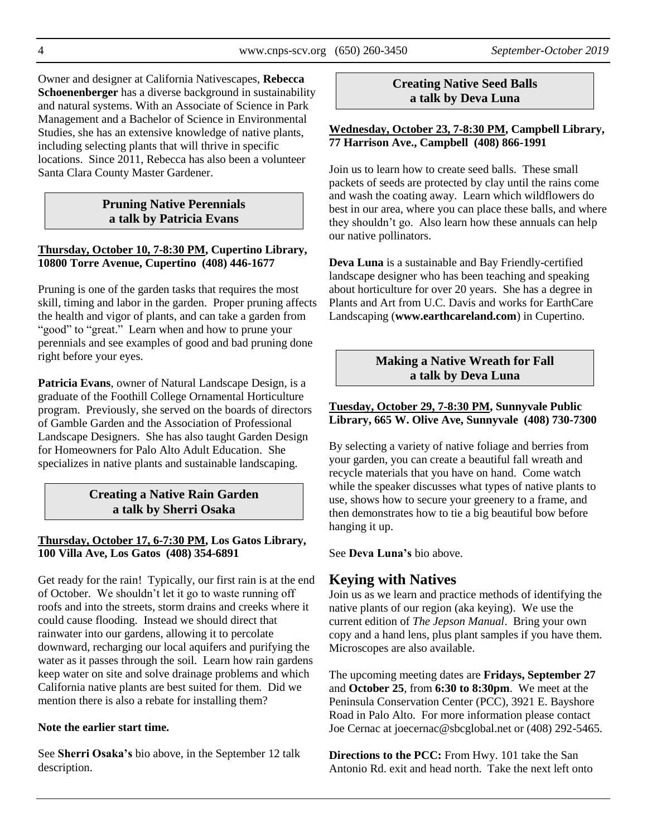Owner and designer at California Nativescapes, **Rebecca Schoenenberger** has a diverse background in sustainability and natural systems. With an Associate of Science in Park Management and a Bachelor of Science in Environmental Studies, she has an extensive knowledge of native plants, including selecting plants that will thrive in specific locations. Since 2011, Rebecca has also been a volunteer Santa Clara County Master Gardener.

#### **Pruning Native Perennials a talk by Patricia Evans**

#### **Thursday, October 10, 7-8:30 PM, Cupertino Library, 10800 Torre Avenue, Cupertino (408) 446-1677**

Pruning is one of the garden tasks that requires the most skill, timing and labor in the garden. Proper pruning affects the health and vigor of plants, and can take a garden from "good" to "great." Learn when and how to prune your perennials and see examples of good and bad pruning done right before your eyes.

**Patricia Evans**, owner of Natural Landscape Design, is a graduate of the Foothill College Ornamental Horticulture program. Previously, she served on the boards of directors of Gamble Garden and the Association of Professional Landscape Designers. She has also taught Garden Design for Homeowners for Palo Alto Adult Education. She specializes in native plants and sustainable landscaping.

## **Creating a Native Rain Garden a talk by Sherri Osaka**

#### **Thursday, October 17, 6-7:30 PM, Los Gatos Library, 100 Villa Ave, Los Gatos (408) 354-6891**

Get ready for the rain! Typically, our first rain is at the end of October. We shouldn't let it go to waste running off roofs and into the streets, storm drains and creeks where it could cause flooding. Instead we should direct that rainwater into our gardens, allowing it to percolate downward, recharging our local aquifers and purifying the water as it passes through the soil. Learn how rain gardens keep water on site and solve drainage problems and which California native plants are best suited for them. Did we mention there is also a rebate for installing them?

#### **Note the earlier start time.**

See **Sherri Osaka's** bio above, in the September 12 talk description.

#### **Creating Native Seed Balls a talk by Deva Luna**

#### **Wednesday, October 23, 7-8:30 PM, Campbell Library, 77 Harrison Ave., Campbell (408) 866-1991**

Join us to learn how to create seed balls. These small packets of seeds are protected by clay until the rains come and wash the coating away. Learn which wildflowers do best in our area, where you can place these balls, and where they shouldn't go. Also learn how these annuals can help our native pollinators.

**Deva Luna** is a sustainable and Bay Friendly-certified landscape designer who has been teaching and speaking about horticulture for over 20 years. She has a degree in Plants and Art from U.C. Davis and works for EarthCare Landscaping (**[www.earthcareland.com](http://www.earthcareland.com/)**) in Cupertino.

#### **Making a Native Wreath for Fall a talk by Deva Luna**

#### **Tuesday, October 29, 7-8:30 PM, Sunnyvale Public Library, 665 W. Olive Ave, Sunnyvale (408) 730-7300**

By selecting a variety of native foliage and berries from your garden, you can create a beautiful fall wreath and recycle materials that you have on hand. Come watch while the speaker discusses what types of native plants to use, shows how to secure your greenery to a frame, and then demonstrates how to tie a big beautiful bow before hanging it up.

See **Deva Luna's** bio above.

# **Keying with Natives**

Join us as we learn and practice methods of identifying the native plants of our region (aka keying). We use the current edition of *The Jepson Manual*. Bring your own copy and a hand lens, plus plant samples if you have them. Microscopes are also available.

The upcoming meeting dates are **Fridays, September 27** and **October 25**, from **6:30 to 8:30pm**. We meet at the Peninsula Conservation Center (PCC), 3921 E. Bayshore Road in Palo Alto. For more information please contact Joe Cernac at joecernac@sbcglobal.net or (408) 292-5465.

**Directions to the PCC:** From Hwy. 101 take the San Antonio Rd. exit and head north. Take the next left onto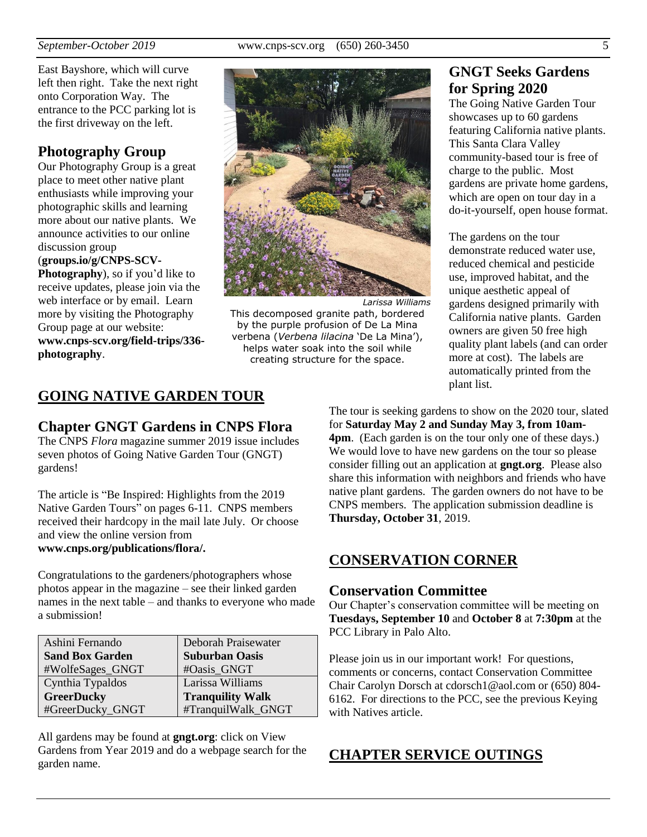East Bayshore, which will curve left then right. Take the next right onto Corporation Way. The entrance to the PCC parking lot is the first driveway on the left.

## **Photography Group**

Our Photography Group is a great place to meet other native plant enthusiasts while improving your photographic skills and learning more about our native plants. We announce activities to our online discussion group

#### (**[groups.io/g/CNPS-SCV-](https://groups.io/g/CNPS-SCV-Photography)**

**[Photography](https://groups.io/g/CNPS-SCV-Photography)**), so if you'd like to receive updates, please join via the web interface or by email. Learn more by visiting the Photography Group page at our website: **[www.cnps-scv.org/field-trips/336](http://www.cnps-scv.org/index.php/field-trips/336-photography) [photography](http://www.cnps-scv.org/index.php/field-trips/336-photography)**.



*Larissa Williams* This decomposed granite path, bordered by the purple profusion of De La Mina verbena (*Verbena lilacina* 'De La Mina'), helps water soak into the soil while creating structure for the space.

# **GNGT Seeks Gardens for Spring 2020**

The Going Native Garden Tour showcases up to 60 gardens featuring California native plants. This Santa Clara Valley community-based tour is free of charge to the public. Most gardens are private home gardens, which are open on tour day in a do-it-yourself, open house format.

The gardens on the tour demonstrate reduced water use, reduced chemical and pesticide use, improved habitat, and the unique aesthetic appeal of gardens designed primarily with California native plants. Garden owners are given 50 free high quality plant labels (and can order more at cost). The labels are automatically printed from the plant list.

## **GOING NATIVE GARDEN TOUR**

## **Chapter GNGT Gardens in CNPS Flora**

The CNPS *Flora* magazine summer 2019 issue includes seven photos of Going Native Garden Tour (GNGT) gardens!

The article is "Be Inspired: Highlights from the 2019 Native Garden Tours" on pages 6-11. CNPS members received their hardcopy in the mail late July. Or choose and view the online version from **[www.cnps.org/publications/flora/](https://www.cnps.org/publications/flora).**

Congratulations to the gardeners/photographers whose photos appear in the magazine – see their linked garden names in the next table – and thanks to everyone who made a submission!

| Ashini Fernando        | Deborah Praisewater     |
|------------------------|-------------------------|
| <b>Sand Box Garden</b> | <b>Suburban Oasis</b>   |
| #WolfeSages_GNGT       | #Oasis GNGT             |
| Cynthia Typaldos       | Larissa Williams        |
| <b>GreerDucky</b>      | <b>Tranquility Walk</b> |
| #GreerDucky_GNGT       | #TranquilWalk_GNGT      |

All gardens may be found at **[gngt.org](https://gngt.org/)**: click on View Gardens from Year 2019 and do a webpage search for the garden name.

The tour is seeking gardens to show on the 2020 tour, slated for **Saturday May 2 and Sunday May 3, from 10am-4pm**. (Each garden is on the tour only one of these days.) We would love to have new gardens on the tour so please consider filling out an application at **[gngt.org](https://gngt.org/)**. Please also share this information with neighbors and friends who have native plant gardens. The garden owners do not have to be CNPS members. The application submission deadline is **Thursday, October 31**, 2019.

## **CONSERVATION CORNER**

#### **Conservation Committee**

Our Chapter's conservation committee will be meeting on **Tuesdays, September 10** and **October 8** at **7:30pm** at the PCC Library in Palo Alto.

Please join us in our important work! For questions, comments or concerns, contact Conservation Committee Chair Carolyn Dorsch at cdorsch1@aol.com or (650) 804- 6162. For directions to the PCC, see the previous Keying with Natives article.

## **CHAPTER SERVICE OUTINGS**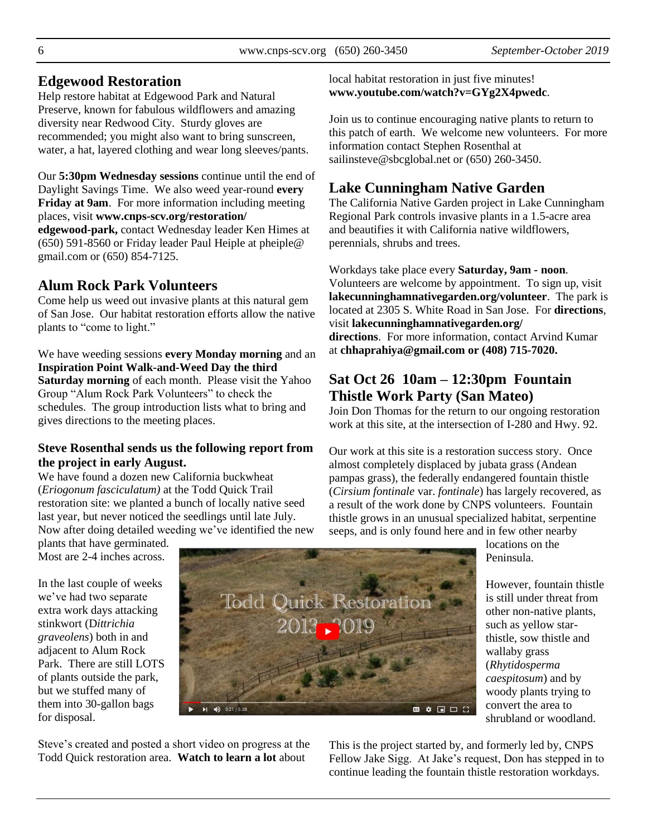## **Edgewood Restoration**

Help restore habitat at Edgewood Park and Natural Preserve, known for fabulous wildflowers and amazing diversity near Redwood City. Sturdy gloves are recommended; you might also want to bring sunscreen, water, a hat, layered clothing and wear long sleeves/pants.

Our **5:30pm Wednesday sessions** continue until the end of Daylight Savings Time. We also weed year-round **every Friday at 9am**. For more information including meeting places, visit **[www.cnps-scv.org/restoration/](http://www.cnps-scv.org/restoration/edgewood-park) [edgewood-park,](http://www.cnps-scv.org/restoration/edgewood-park)** contact Wednesday leader Ken Himes at (650) 591-8560 or Friday leader Paul Heiple at pheiple@ gmail.com or (650) 854-7125.

## **Alum Rock Park Volunteers**

Come help us weed out invasive plants at this natural gem of San Jose. Our habitat restoration efforts allow the native plants to "come to light."

We have weeding sessions **every Monday morning** and an **Inspiration Point Walk-and-Weed Day the third Saturday morning** of each month. Please visit the Yahoo Group "Alum Rock Park Volunteers" to check the schedules. The group introduction lists what to bring and gives directions to the meeting places.

#### **Steve Rosenthal sends us the following report from the project in early August.**

We have found a dozen new California buckwheat (*Eriogonum fasciculatum)* at the Todd Quick Trail restoration site: we planted a bunch of locally native seed last year, but never noticed the seedlings until late July. Now after doing detailed weeding we've identified the new

plants that have germinated. Most are 2-4 inches across.

In the last couple of weeks we've had two separate extra work days attacking stinkwort (D*ittrichia graveolens*) both in and adjacent to Alum Rock Park. There are still LOTS of plants outside the park, but we stuffed many of them into 30-gallon bags for disposal.

Steve's created and posted a short video on progress at the Todd Quick restoration area. **Watch to learn a lot** about

local habitat restoration in just five minutes! **[www.youtube.com/watch?v=GYg2X4pwedc](https://www.youtube.com/watch?v=GYg2X4pwedc)**.

Join us to continue encouraging native plants to return to this patch of earth. We welcome new volunteers. For more information contact Stephen Rosenthal at sailinsteve@sbcglobal.net or (650) 260-3450.

## **Lake Cunningham Native Garden**

The California Native Garden project in Lake Cunningham Regional Park controls invasive plants in a 1.5-acre area and beautifies it with California native wildflowers, perennials, shrubs and trees.

Workdays take place every **Saturday, 9am - noon**. Volunteers are welcome by appointment. To sign up, visit **[lakecunninghamnativegarden.org/volunteer](http://lakecunninghamnativegarden.org/volunteer)**. The park is located at 2305 S. White Road in San Jose. For **directions**, visit **[lakecunninghamnativegarden.org/](http://lakecunninghamnativegarden.org/directions) [directions](http://lakecunninghamnativegarden.org/directions)**. For more information, contact Arvind Kumar at **chhaprahiya@gmail.com or (408) 715-7020.**

## **Sat Oct 26 10am – 12:30pm Fountain Thistle Work Party (San Mateo)**

Join Don Thomas for the return to our ongoing restoration work at this site, at the intersection of I-280 and Hwy. 92.

Our work at this site is a restoration success story. Once almost completely displaced by jubata grass (Andean pampas grass), the federally endangered fountain thistle (*Cirsium fontinale* var. *fontinale*) has largely recovered, as a result of the work done by CNPS volunteers. Fountain thistle grows in an unusual specialized habitat, serpentine seeps, and is only found here and in few other nearby

locations on the Peninsula.

However, fountain thistle is still under threat from other non-native plants, such as yellow starthistle, sow thistle and wallaby grass (*Rhytidosperma caespitosum*) and by woody plants trying to convert the area to shrubland or woodland.

This is the project started by, and formerly led by, CNPS Fellow Jake Sigg. At Jake's request, Don has stepped in to continue leading the fountain thistle restoration workdays.

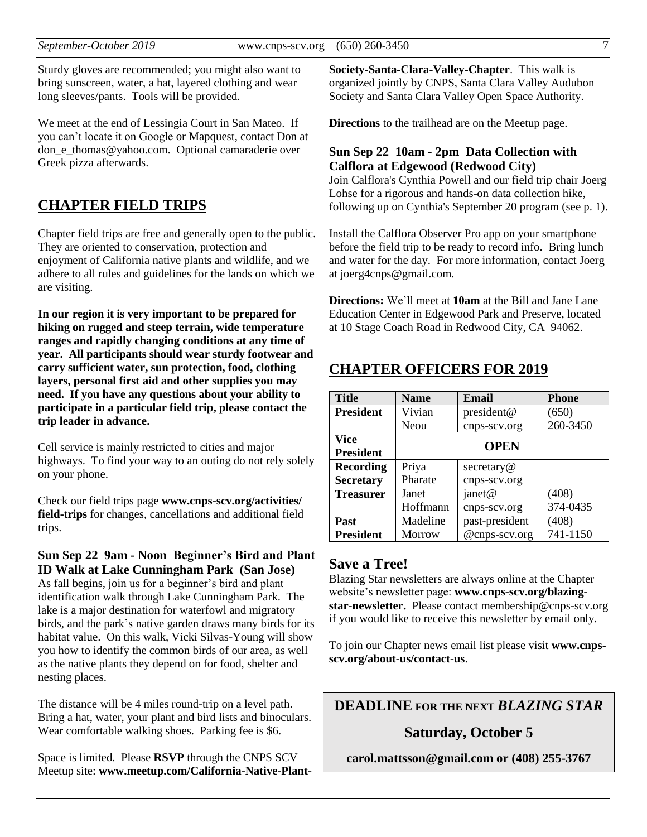Sturdy gloves are recommended; you might also want to bring sunscreen, water, a hat, layered clothing and wear long sleeves/pants. Tools will be provided.

We meet at the end of Lessingia Court in San Mateo. If you can't locate it on Google or Mapquest, contact Don at don\_e\_thomas@yahoo.com. Optional camaraderie over Greek pizza afterwards.

## **CHAPTER FIELD TRIPS**

Chapter field trips are free and generally open to the public. They are oriented to conservation, protection and enjoyment of California native plants and wildlife, and we adhere to all rules and guidelines for the lands on which we are visiting.

**In our region it is very important to be prepared for hiking on rugged and steep terrain, wide temperature ranges and rapidly changing conditions at any time of year. All participants should wear sturdy footwear and carry sufficient water, sun protection, food, clothing layers, personal first aid and other supplies you may need. If you have any questions about your ability to participate in a particular field trip, please contact the trip leader in advance.**

Cell service is mainly restricted to cities and major highways. To find your way to an outing do not rely solely on your phone.

Check our field trips page **[www.cnps-scv.org/activities/](http://www.cnps-scv.org/activities/field-trips/) [field-trips](http://www.cnps-scv.org/activities/field-trips/)** for changes, cancellations and additional field trips.

#### **Sun Sep 22 9am - Noon Beginner's Bird and Plant ID Walk at Lake Cunningham Park (San Jose)**

As fall begins, join us for a beginner's bird and plant identification walk through Lake Cunningham Park. The lake is a major destination for waterfowl and migratory birds, and the park's native garden draws many birds for its habitat value. On this walk, Vicki Silvas-Young will show you how to identify the common birds of our area, as well as the native plants they depend on for food, shelter and nesting places.

The distance will be 4 miles round-trip on a level path. Bring a hat, water, your plant and bird lists and binoculars. Wear comfortable walking shoes. Parking fee is \$6.

Space is limited. Please **RSVP** through the CNPS SCV Meetup site: **[www.meetup.com/California-Native-Plant-](http://www.meetup.com/California-Native-Plant-Society-Santa-Clara-Valley-Chapter)** **[Society-Santa-Clara-Valley-Chapter](http://www.meetup.com/California-Native-Plant-Society-Santa-Clara-Valley-Chapter)**. This walk is organized jointly by CNPS, Santa Clara Valley Audubon Society and Santa Clara Valley Open Space Authority.

**Directions** to the trailhead are on the Meetup page.

#### **Sun Sep 22 10am - 2pm Data Collection with Calflora at Edgewood (Redwood City)**

Join Calflora's Cynthia Powell and our field trip chair Joerg Lohse for a rigorous and hands-on data collection hike, following up on Cynthia's September 20 program (see p. 1).

Install the Calflora Observer Pro app on your smartphone before the field trip to be ready to record info. Bring lunch and water for the day. For more information, contact Joerg at joerg4cnps@gmail.com.

**Directions:** We'll meet at **10am** at the Bill and Jane Lane Education Center in Edgewood Park and Preserve, located at 10 Stage Coach Road in Redwood City, CA 94062.

## **CHAPTER OFFICERS FOR 2019**

| <b>Title</b>     | <b>Name</b> | Email          | <b>Phone</b> |
|------------------|-------------|----------------|--------------|
| <b>President</b> | Vivian      | president@     | (650)        |
|                  | Neou        | cnps-scv.org   | 260-3450     |
| <b>Vice</b>      |             | <b>OPEN</b>    |              |
| <b>President</b> |             |                |              |
| <b>Recording</b> | Priya       | secretary@     |              |
| <b>Secretary</b> | Pharate     | cnps-scv.org   |              |
| <b>Treasurer</b> | Janet       | janet@         | (408)        |
|                  | Hoffmann    | cnps-scv.org   | 374-0435     |
| Past             | Madeline    | past-president | (408)        |
| <b>President</b> | Morrow      | @cnps-scv.org  | 741-1150     |

#### **Save a Tree!**

Blazing Star newsletters are always online at the Chapter website's newsletter page: **[www.cnps-scv.org/blazing](http://www.cnps-scv.org/index.php/blazing-star-newsletter)[star-newsletter.](http://www.cnps-scv.org/index.php/blazing-star-newsletter)** Please contact membership@cnps-scv.org if you would like to receive this newsletter by email only.

To join our Chapter news email list please visit **[www.cnps](http://www.cnps-scv.org/about-us/contact-us/)[scv.org/about-us/contact-us](http://www.cnps-scv.org/about-us/contact-us/)**.

**DEADLINE FOR THE NEXT** *BLAZING STAR*

#### **Saturday, October 5**

**carol.mattsson@gmail.com or (408) 255-3767**